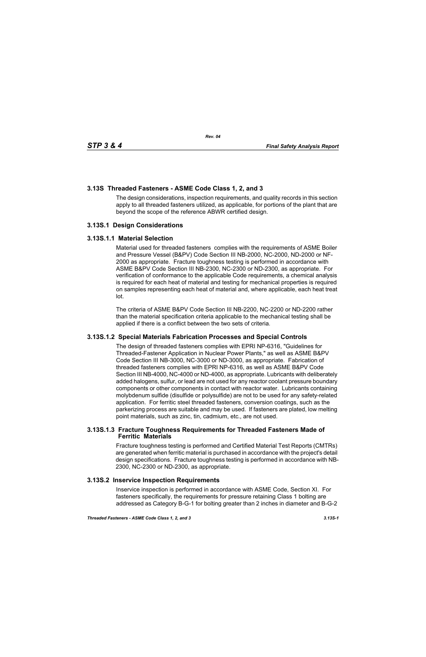# **3.13S Threaded Fasteners - ASME Code Class 1, 2, and 3**

The design considerations, inspection requirements, and quality records in this section apply to all threaded fasteners utilized, as applicable, for portions of the plant that are beyond the scope of the reference ABWR certified design.

## **3.13S.1 Design Considerations**

### **3.13S.1.1 Material Selection**

Material used for threaded fasteners complies with the requirements of ASME Boiler and Pressure Vessel (B&PV) Code Section III NB-2000, NC-2000, ND-2000 or NF-2000 as appropriate. Fracture toughness testing is performed in accordance with ASME B&PV Code Section III NB-2300, NC-2300 or ND-2300, as appropriate. For verification of conformance to the applicable Code requirements, a chemical analysis is required for each heat of material and testing for mechanical properties is required on samples representing each heat of material and, where applicable, each heat treat lot.

The criteria of ASME B&PV Code Section III NB-2200, NC-2200 or ND-2200 rather than the material specification criteria applicable to the mechanical testing shall be applied if there is a conflict between the two sets of criteria.

### **3.13S.1.2 Special Materials Fabrication Processes and Special Controls**

The design of threaded fasteners complies with EPRI NP-6316, "Guidelines for Threaded-Fastener Application in Nuclear Power Plants," as well as ASME B&PV Code Section III NB-3000, NC-3000 or ND-3000, as appropriate. Fabrication of threaded fasteners complies with EPRI NP-6316, as well as ASME B&PV Code Section III NB-4000, NC-4000 or ND-4000, as appropriate. Lubricants with deliberately added halogens, sulfur, or lead are not used for any reactor coolant pressure boundary components or other components in contact with reactor water. Lubricants containing molybdenum sulfide (disulfide or polysulfide) are not to be used for any safety-related application. For ferritic steel threaded fasteners, conversion coatings, such as the parkerizing process are suitable and may be used. If fasteners are plated, low melting point materials, such as zinc, tin, cadmium, etc., are not used.

### **3.13S.1.3 Fracture Toughness Requirements for Threaded Fasteners Made of Ferritic Materials**

Fracture toughness testing is performed and Certified Material Test Reports (CMTRs) are generated when ferritic material is purchased in accordance with the project's detail design specifications. Fracture toughness testing is performed in accordance with NB-2300, NC-2300 or ND-2300, as appropriate.

### **3.13S.2 Inservice Inspection Requirements**

Inservice inspection is performed in accordance with ASME Code, Section XI. For fasteners specifically, the requirements for pressure retaining Class 1 bolting are addressed as Category B-G-1 for bolting greater than 2 inches in diameter and B-G-2